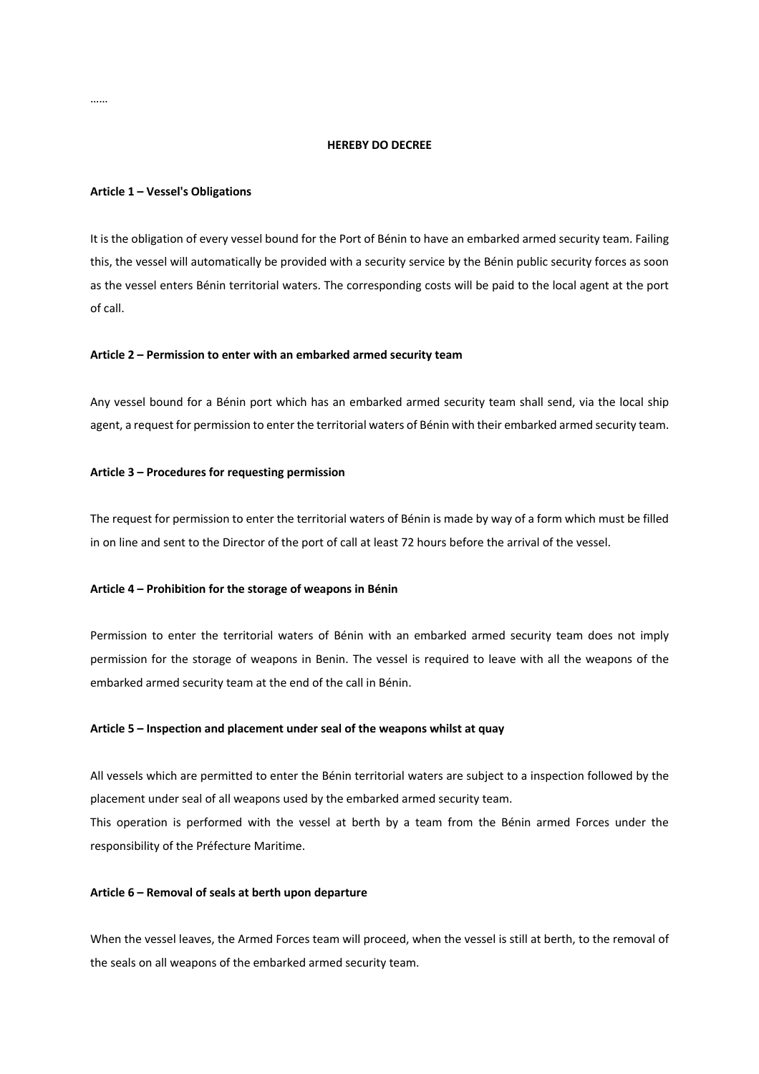## **HEREBY DO DECREE**

#### **Article 1 – Vessel's Obligations**

It is the obligation of every vessel bound for the Port of Bénin to have an embarked armed security team. Failing this, the vessel will automatically be provided with a security service by the Bénin public security forces as soon as the vessel enters Bénin territorial waters. The corresponding costs will be paid to the local agent at the port of call.

## **Article 2 – Permission to enter with an embarked armed security team**

Any vessel bound for a Bénin port which has an embarked armed security team shall send, via the local ship agent, a request for permission to enter the territorial waters of Bénin with their embarked armed security team.

### **Article 3 – Procedures for requesting permission**

The request for permission to enter the territorial waters of Bénin is made by way of a form which must be filled in on line and sent to the Director of the port of call at least 72 hours before the arrival of the vessel.

### **Article 4 – Prohibition for the storage of weapons in Bénin**

Permission to enter the territorial waters of Bénin with an embarked armed security team does not imply permission for the storage of weapons in Benin. The vessel is required to leave with all the weapons of the embarked armed security team at the end of the call in Bénin.

### **Article 5 – Inspection and placement under seal of the weapons whilst at quay**

All vessels which are permitted to enter the Bénin territorial waters are subject to a inspection followed by the placement under seal of all weapons used by the embarked armed security team. This operation is performed with the vessel at berth by a team from the Bénin armed Forces under the responsibility of the Préfecture Maritime.

### **Article 6 – Removal of seals at berth upon departure**

When the vessel leaves, the Armed Forces team will proceed, when the vessel is still at berth, to the removal of the seals on all weapons of the embarked armed security team.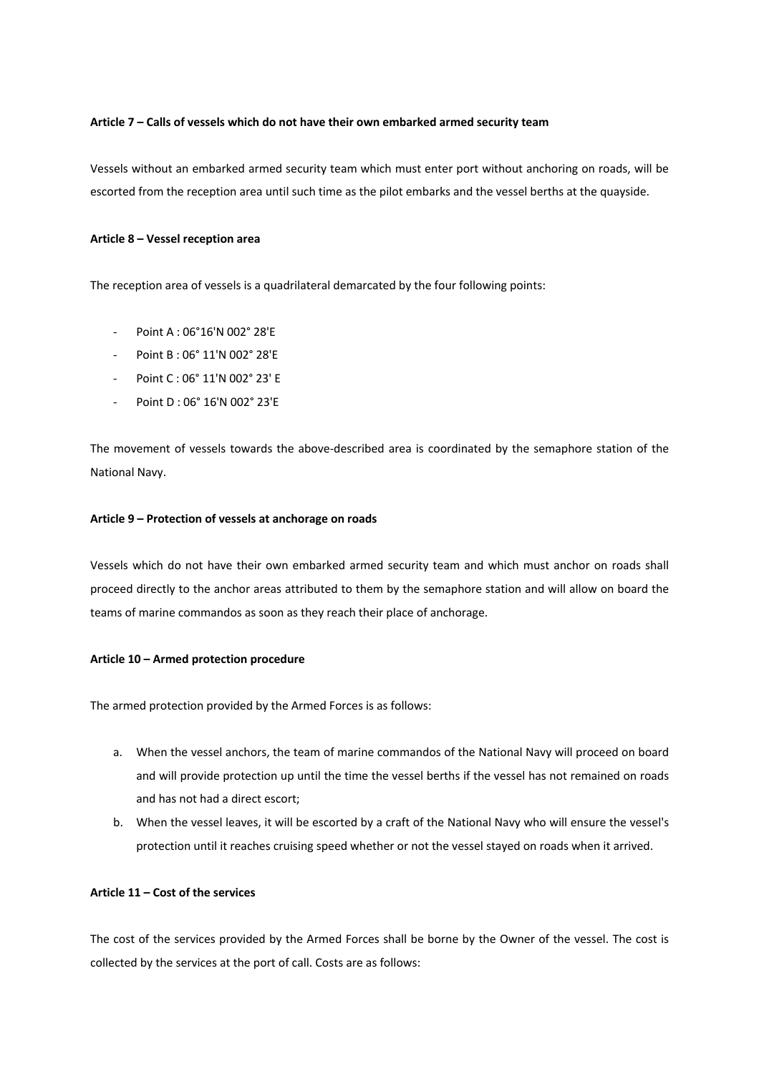## **Article 7 – Calls of vessels which do not have their own embarked armed security team**

Vessels without an embarked armed security team which must enter port without anchoring on roads, will be escorted from the reception area until such time as the pilot embarks and the vessel berths at the quayside.

## **Article 8 – Vessel reception area**

The reception area of vessels is a quadrilateral demarcated by the four following points:

- Point A : 06°16'N 002° 28'E
- Point B : 06° 11'N 002° 28'E
- Point C : 06° 11'N 002° 23' E
- Point D : 06° 16'N 002° 23'E

The movement of vessels towards the above-described area is coordinated by the semaphore station of the National Navy.

#### **Article 9 – Protection of vessels at anchorage on roads**

Vessels which do not have their own embarked armed security team and which must anchor on roads shall proceed directly to the anchor areas attributed to them by the semaphore station and will allow on board the teams of marine commandos as soon as they reach their place of anchorage.

## **Article 10 – Armed protection procedure**

The armed protection provided by the Armed Forces is as follows:

- a. When the vessel anchors, the team of marine commandos of the National Navy will proceed on board and will provide protection up until the time the vessel berths if the vessel has not remained on roads and has not had a direct escort;
- b. When the vessel leaves, it will be escorted by a craft of the National Navy who will ensure the vessel's protection until it reaches cruising speed whether or not the vessel stayed on roads when it arrived.

# **Article 11 – Cost of the services**

The cost of the services provided by the Armed Forces shall be borne by the Owner of the vessel. The cost is collected by the services at the port of call. Costs are as follows: